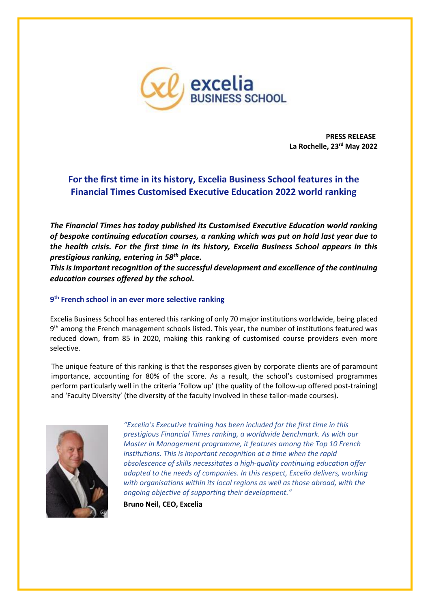

**PRESS RELEASE La Rochelle, 23rd May 2022**

## **For the first time in its history, Excelia Business School features in the Financial Times Customised Executive Education 2022 world ranking**

*The Financial Times has today published its Customised Executive Education world ranking of bespoke continuing education courses, a ranking which was put on hold last year due to the health crisis. For the first time in its history, Excelia Business School appears in this prestigious ranking, entering in 58th place.*

*This is important recognition of the successful development and excellence of the continuing education courses offered by the school.*

## **9 th French school in an ever more selective ranking**

Excelia Business School has entered this ranking of only 70 major institutions worldwide, being placed 9<sup>th</sup> among the French management schools listed. This year, the number of institutions featured was reduced down, from 85 in 2020, making this ranking of customised course providers even more selective.

The unique feature of this ranking is that the responses given by corporate clients are of paramount importance, accounting for 80% of the score. As a result, the school's customised programmes perform particularly well in the criteria 'Follow up' (the quality of the follow-up offered post-training) and 'Faculty Diversity' (the diversity of the faculty involved in these tailor-made courses).



*"Excelia's Executive training has been included for the first time in this prestigious Financial Times ranking, a worldwide benchmark. As with our Master in Management programme, it features among the Top 10 French institutions. This is important recognition at a time when the rapid obsolescence of skills necessitates a high-quality continuing education offer adapted to the needs of companies. In this respect, Excelia delivers, working with organisations within its local regions as well as those abroad, with the ongoing objective of supporting their development."*

**Bruno Neil, CEO, Excelia**